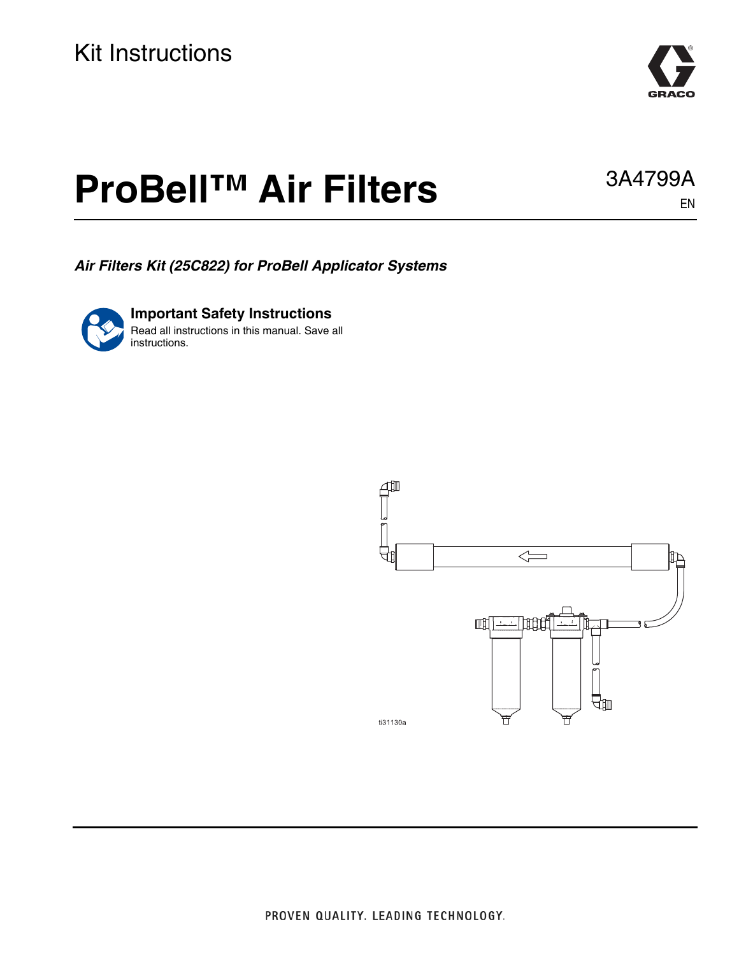

# **ProBell™ Air Filters**

*Air Filters Kit (25C822) for ProBell Applicator Systems*

**Important Safety Instructions** Read all instructions in this manual. Save all instructions.



3A4799A

EN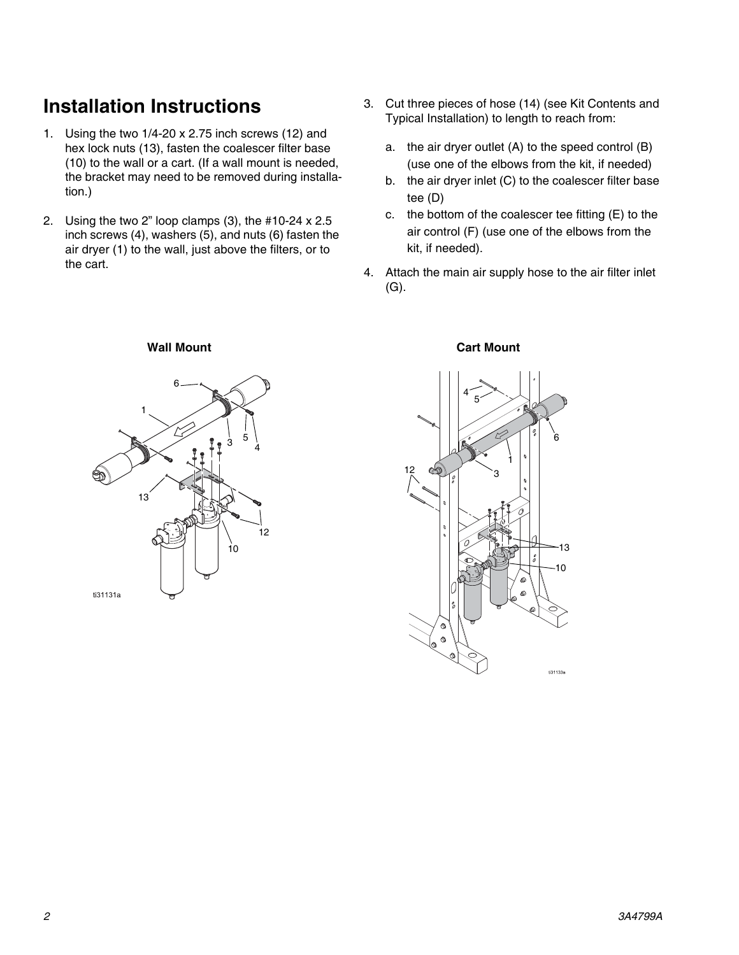### **Installation Instructions**

- 1. Using the two 1/4-20 x 2.75 inch screws (12) and hex lock nuts (13), fasten the coalescer filter base (10) to the wall or a cart. (If a wall mount is needed, the bracket may need to be removed during installation.)
- 2. Using the two 2" loop clamps (3), the #10-24 x 2.5 inch screws (4), washers (5), and nuts (6) fasten the air dryer (1) to the wall, just above the filters, or to the cart.
- 3. Cut three pieces of hose (14) (see Kit Contents and Typical Installation) to length to reach from:
	- a. the air dryer outlet (A) to the speed control (B) (use one of the elbows from the kit, if needed)
	- b. the air dryer inlet (C) to the coalescer filter base tee (D)
	- c. the bottom of the coalescer tee fitting (E) to the air control (F) (use one of the elbows from the kit, if needed).
- 4. Attach the main air supply hose to the air filter inlet  $(G).$



### **Wall Mount Cart Mount**

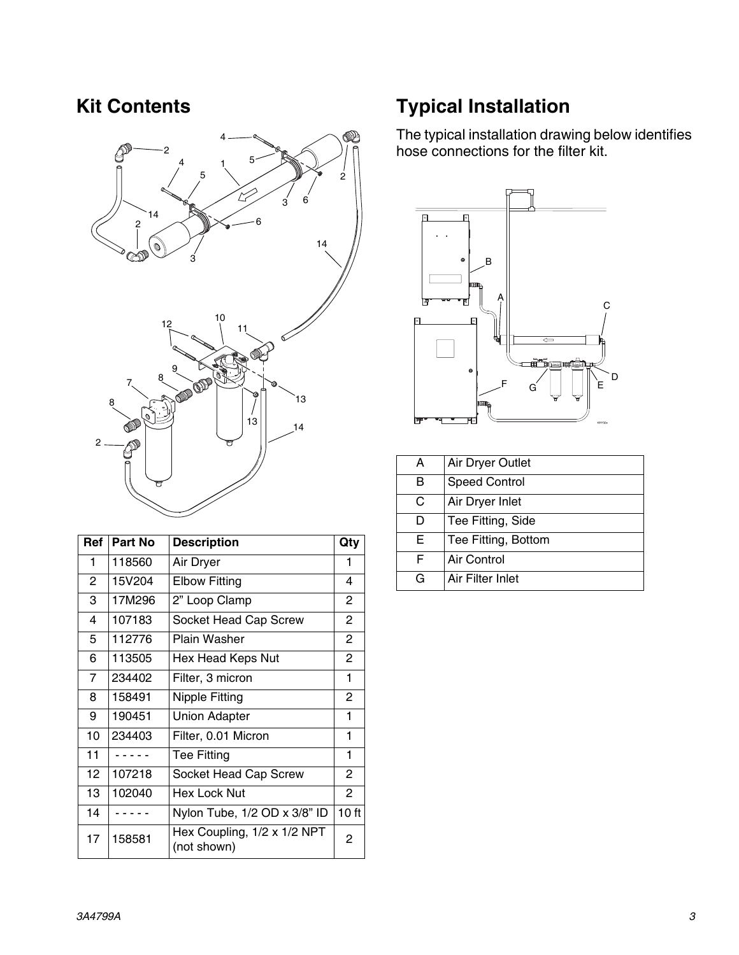

| Ref            | Part No | <b>Description</b>                         | Qty              |
|----------------|---------|--------------------------------------------|------------------|
| 1              | 118560  | Air Dryer                                  | 1                |
| 2              | 15V204  | <b>Elbow Fitting</b>                       | 4                |
| 3              | 17M296  | 2" Loop Clamp                              | 2                |
| 4              | 107183  | Socket Head Cap Screw                      | 2                |
| 5              | 112776  | Plain Washer                               | $\overline{2}$   |
| 6              | 113505  | Hex Head Keps Nut                          | $\overline{2}$   |
| $\overline{7}$ | 234402  | Filter, 3 micron                           | 1                |
| 8              | 158491  | <b>Nipple Fitting</b>                      | 2                |
| 9              | 190451  | <b>Union Adapter</b>                       | 1                |
| 10             | 234403  | Filter, 0.01 Micron                        | 1                |
| 11             |         | Tee Fitting                                | 1                |
| 12             | 107218  | Socket Head Cap Screw                      | $\mathbf{2}$     |
| 13             | 102040  | Hex Lock Nut                               | 2                |
| 14             |         | Nylon Tube, 1/2 OD x 3/8" ID               | 10 <sub>ft</sub> |
| 17             | 158581  | Hex Coupling, 1/2 x 1/2 NPT<br>(not shown) | 2                |

### **Kit Contents Typical Installation**

The typical installation drawing below identifies hose connections for the filter kit.



| А | Air Dryer Outlet     |  |
|---|----------------------|--|
| в | <b>Speed Control</b> |  |
| C | Air Dryer Inlet      |  |
| D | Tee Fitting, Side    |  |
| Е | Tee Fitting, Bottom  |  |
| F | Air Control          |  |
| G | Air Filter Inlet     |  |